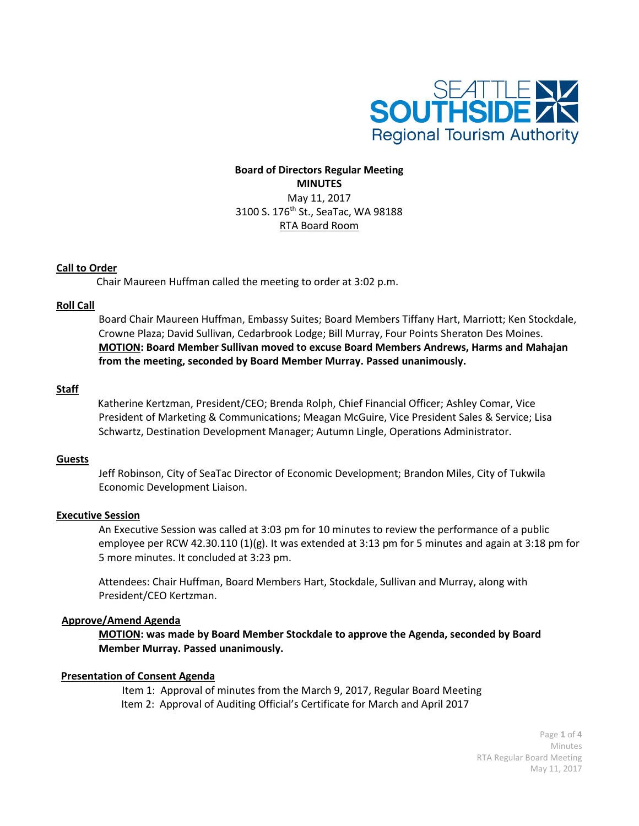

# **Board of Directors Regular Meeting MINUTES** May 11, 2017 3100 S. 176th St., SeaTac, WA 98188 RTA Board Room

# **Call to Order**

Chair Maureen Huffman called the meeting to order at 3:02 p.m.

# **Roll Call**

Board Chair Maureen Huffman, Embassy Suites; Board Members Tiffany Hart, Marriott; Ken Stockdale, Crowne Plaza; David Sullivan, Cedarbrook Lodge; Bill Murray, Four Points Sheraton Des Moines. **MOTION: Board Member Sullivan moved to excuse Board Members Andrews, Harms and Mahajan from the meeting, seconded by Board Member Murray. Passed unanimously.**

# **Staff**

 Katherine Kertzman, President/CEO; Brenda Rolph, Chief Financial Officer; Ashley Comar, Vice President of Marketing & Communications; Meagan McGuire, Vice President Sales & Service; Lisa Schwartz, Destination Development Manager; Autumn Lingle, Operations Administrator.

# **Guests**

Jeff Robinson, City of SeaTac Director of Economic Development; Brandon Miles, City of Tukwila Economic Development Liaison.

# **Executive Session**

An Executive Session was called at 3:03 pm for 10 minutes to review the performance of a public employee per RCW 42.30.110 (1)(g). It was extended at 3:13 pm for 5 minutes and again at 3:18 pm for 5 more minutes. It concluded at 3:23 pm.

Attendees: Chair Huffman, Board Members Hart, Stockdale, Sullivan and Murray, along with President/CEO Kertzman.

# **Approve/Amend Agenda**

**MOTION: was made by Board Member Stockdale to approve the Agenda, seconded by Board Member Murray. Passed unanimously.**

# **Presentation of Consent Agenda**

Item 1: Approval of minutes from the March 9, 2017, Regular Board Meeting Item 2: Approval of Auditing Official's Certificate for March and April 2017

> Page **1** of **4** Minutes RTA Regular Board Meeting May 11, 2017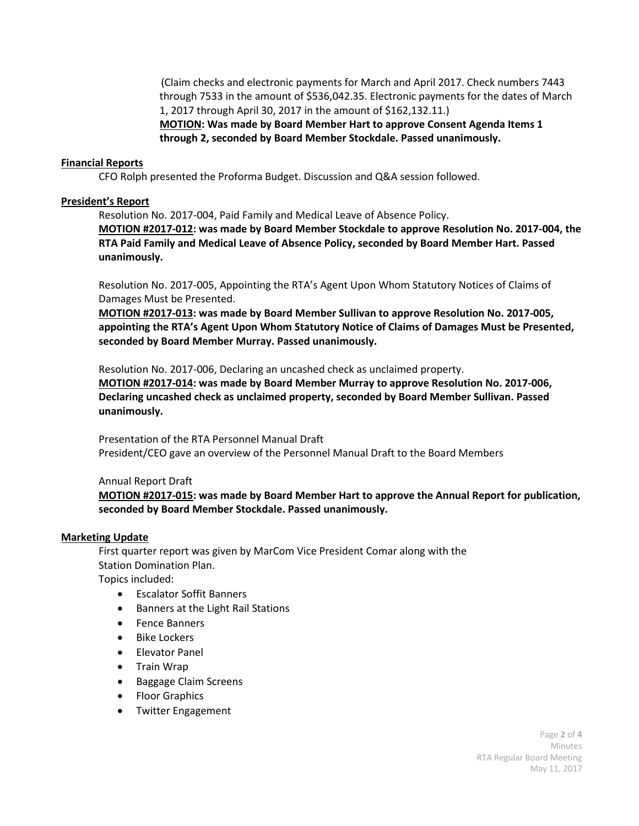(Claim checks and electronic payments for March and April 2017. Check numbers 7443 through 7533 in the amount of \$536,042.35. Electronic payments for the dates of March 1, 2017 through April 30, 2017 in the amount of \$162,132.11.)

**MOTION: Was made by Board Member Hart to approve Consent Agenda Items 1 through 2, seconded by Board Member Stockdale. Passed unanimously.**

### **Financial Reports**

CFO Rolph presented the Proforma Budget. Discussion and Q&A session followed.

### **President's Report**

Resolution No. 2017-004, Paid Family and Medical Leave of Absence Policy.

**MOTION #2017-012: was made by Board Member Stockdale to approve Resolution No. 2017-004, the RTA Paid Family and Medical Leave of Absence Policy, seconded by Board Member Hart. Passed unanimously.**

Resolution No. 2017-005, Appointing the RTA's Agent Upon Whom Statutory Notices of Claims of Damages Must be Presented.

**MOTION #2017-013: was made by Board Member Sullivan to approve Resolution No. 2017-005, appointing the RTA's Agent Upon Whom Statutory Notice of Claims of Damages Must be Presented, seconded by Board Member Murray. Passed unanimously.**

Resolution No. 2017-006, Declaring an uncashed check as unclaimed property.

**MOTION #2017-014: was made by Board Member Murray to approve Resolution No. 2017-006, Declaring uncashed check as unclaimed property, seconded by Board Member Sullivan. Passed unanimously.**

Presentation of the RTA Personnel Manual Draft President/CEO gave an overview of the Personnel Manual Draft to the Board Members

Annual Report Draft

**MOTION #2017-015: was made by Board Member Hart to approve the Annual Report for publication, seconded by Board Member Stockdale. Passed unanimously.**

#### **Marketing Update**

First quarter report was given by MarCom Vice President Comar along with the Station Domination Plan.

Topics included:

- Escalator Soffit Banners
- Banners at the Light Rail Stations
- Fence Banners
- Bike Lockers
- Elevator Panel
- Train Wrap
- Baggage Claim Screens
- Floor Graphics
- Twitter Engagement

Page **2** of **4** Minutes RTA Regular Board Meeting May 11, 2017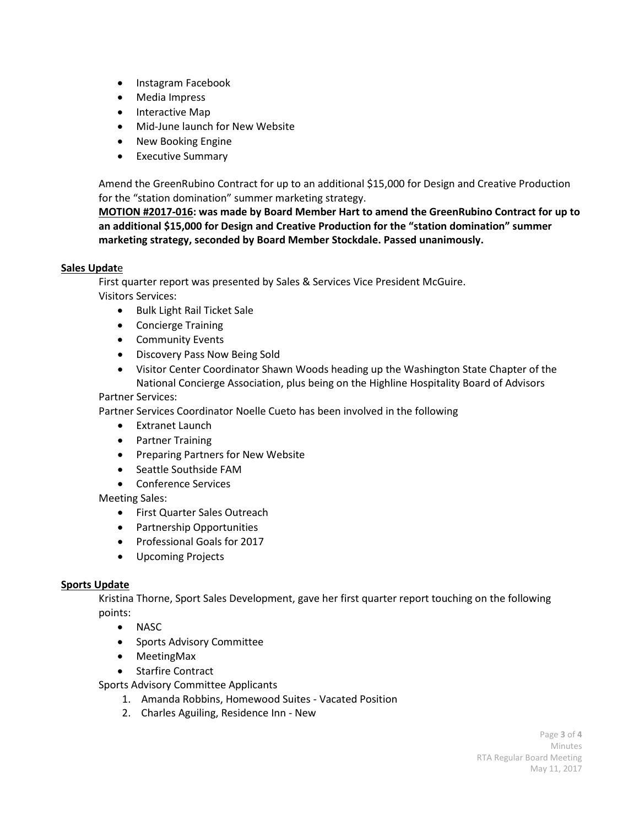- Instagram Facebook
- Media Impress
- Interactive Map
- Mid-June launch for New Website
- New Booking Engine
- Executive Summary

Amend the GreenRubino Contract for up to an additional \$15,000 for Design and Creative Production for the "station domination" summer marketing strategy.

**MOTION #2017-016: was made by Board Member Hart to amend the GreenRubino Contract for up to an additional \$15,000 for Design and Creative Production for the "station domination" summer marketing strategy, seconded by Board Member Stockdale. Passed unanimously.**

# **Sales Updat**e

First quarter report was presented by Sales & Services Vice President McGuire. Visitors Services:

- Bulk Light Rail Ticket Sale
- Concierge Training
- Community Events
- Discovery Pass Now Being Sold
- Visitor Center Coordinator Shawn Woods heading up the Washington State Chapter of the National Concierge Association, plus being on the Highline Hospitality Board of Advisors

# Partner Services:

Partner Services Coordinator Noelle Cueto has been involved in the following

- Extranet Launch
- Partner Training
- Preparing Partners for New Website
- Seattle Southside FAM
- Conference Services

# Meeting Sales:

- First Quarter Sales Outreach
- Partnership Opportunities
- Professional Goals for 2017
- Upcoming Projects

# **Sports Update**

Kristina Thorne, Sport Sales Development, gave her first quarter report touching on the following points:

- NASC
- Sports Advisory Committee
- MeetingMax
- Starfire Contract

Sports Advisory Committee Applicants

- 1. Amanda Robbins, Homewood Suites Vacated Position
- 2. Charles Aguiling, Residence Inn New